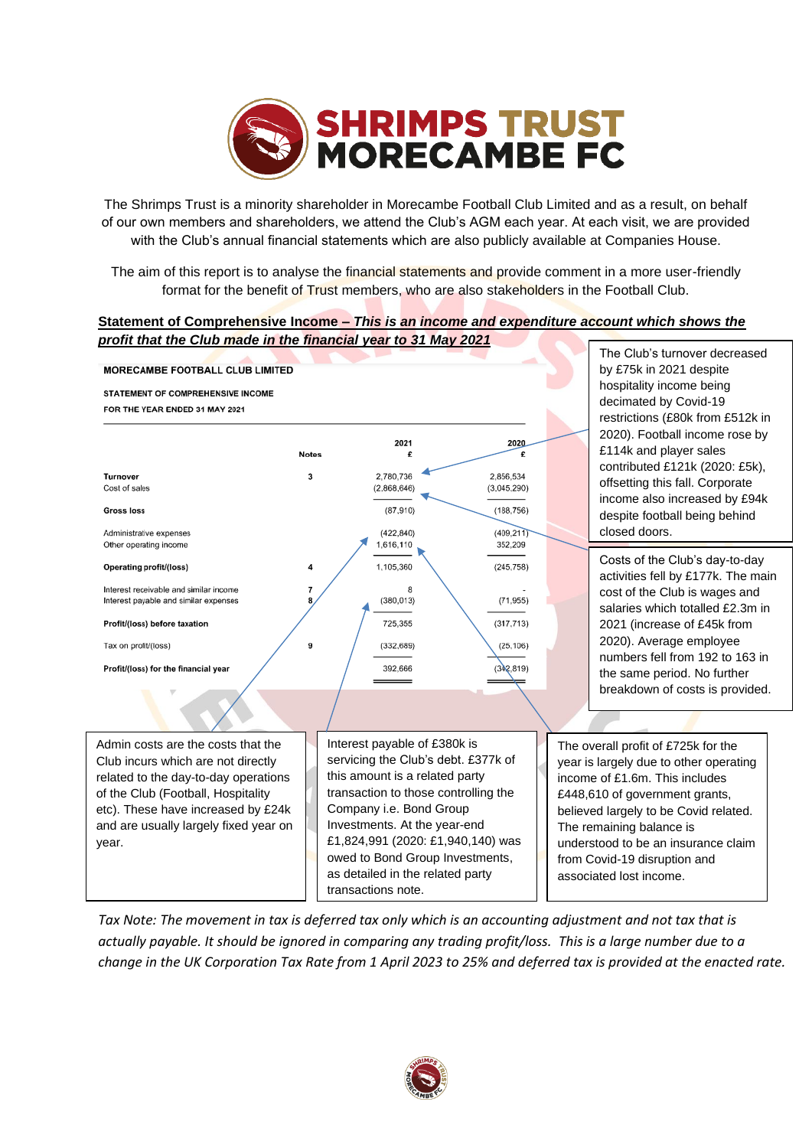

The Shrimps Trust is a minority shareholder in Morecambe Football Club Limited and as a result, on behalf of our own members and shareholders, we attend the Club's AGM each year. At each visit, we are provided with the Club's annual financial statements which are also publicly available at Companies House.

The aim of this report is to analyse the financial statements and provide comment in a more user-friendly format for the benefit of Trust members, who are also stakeholders in the Football Club.

## **Statement of Comprehensive Income –** *This is an income and expenditure account which shows the profit that the Club made in the financial year to 31 May 2021*



*Tax Note: The movement in tax is deferred tax only which is an accounting adjustment and not tax that is actually payable. It should be ignored in comparing any trading profit/loss. This is a large number due to a change in the UK Corporation Tax Rate from 1 April 2023 to 25% and deferred tax is provided at the enacted rate.* 

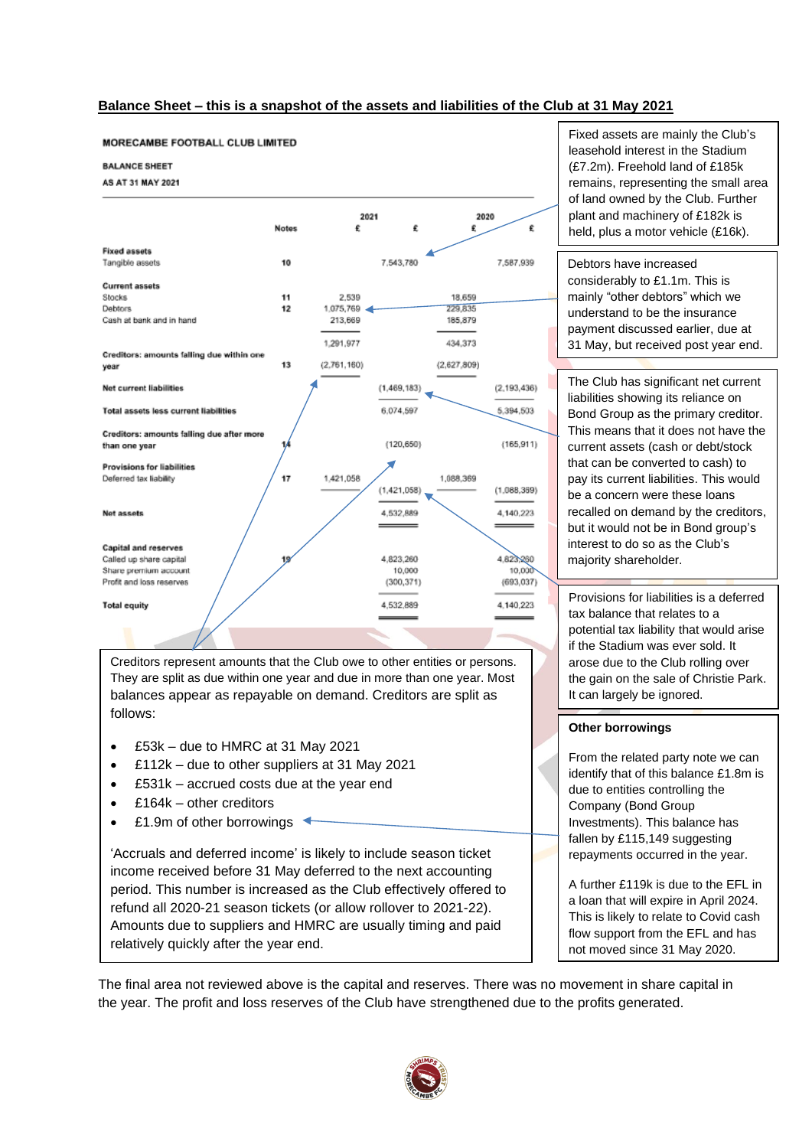#### **Balance Sheet – this is a snapshot of the assets and liabilities of the Club at 31 May 2021**



Creditors represent amounts that the Club owe to other entities or persons. They are split as due within one year and due in more than one year. Most balances appear as repayable on demand. Creditors are split as follows:

- £53k due to HMRC at 31 May 2021
- £112k due to other suppliers at 31 May 2021
- £531k accrued costs due at the year end
- £164k other creditors
- £1.9m of other borrowings  $\triangleleft$

'Accruals and deferred income' is likely to include season ticket income received before 31 May deferred to the next accounting period. This number is increased as the Club effectively offered to refund all 2020-21 season tickets (or allow rollover to 2021-22). Amounts due to suppliers and HMRC are usually timing and paid relatively quickly after the year end.

Fixed assets are mainly the Club's leasehold interest in the Stadium (£7.2m). Freehold land of £185k remains, representing the small area of land owned by the Club. Further plant and machinery of £182k is held, plus a motor vehicle (£16k).

Debtors have increased considerably to £1.1m. This is mainly "other debtors" which we understand to be the insurance payment discussed earlier, due at 31 May, but received post year end.

The Club has significant net current liabilities showing its reliance on Bond Group as the primary creditor. This means that it does not have the current assets (cash or debt/stock that can be converted to cash) to pay its current liabilities. This would be a concern were these loans recalled on demand by the creditors, but it would not be in Bond group's interest to do so as the Club's majority shareholder.

Provisions for liabilities is a deferred tax balance that relates to a potential tax liability that would arise if the Stadium was ever sold. It arose due to the Club rolling over the gain on the sale of Christie Park. It can largely be ignored.

#### **Other borrowings**

From the related party note we can identify that of this balance £1.8m is due to entities controlling the Company (Bond Group Investments). This balance has fallen by £115,149 suggesting repayments occurred in the year.

A further £119k is due to the EFL in a loan that will expire in April 2024. This is likely to relate to Covid cash flow support from the EFL and has not moved since 31 May 2020.

The final area not reviewed above is the capital and reserves. There was no movement in share capital in the year. The profit and loss reserves of the Club have strengthened due to the profits generated.